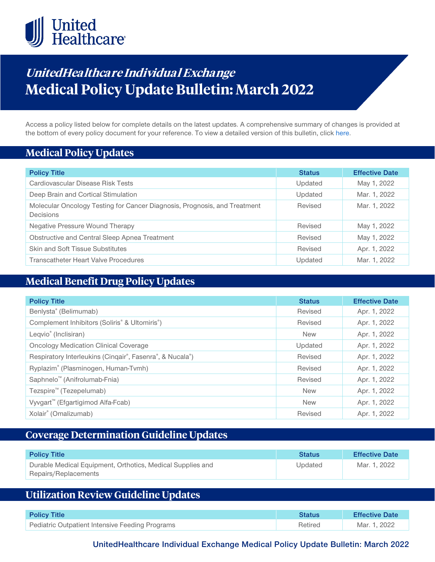

# **UnitedHealthcare Individual Exchange Medical Policy Update Bulletin: March 2022**

Access a policy listed below for complete details on the latest updates. A comprehensive summary of changes is provided at the bottom of every policy document for your reference. To view a detailed version of this bulletin, clic[k here.](https://www.uhcprovider.com/content/dam/provider/docs/public/policies/mpub-archives/exchange/exchange-medical-policy-update-bulletin-march-2022-full.pdf)

### **Medical Policy Updates**

| <b>Policy Title</b>                                                                    | <b>Status</b> | <b>Effective Date</b> |
|----------------------------------------------------------------------------------------|---------------|-----------------------|
| Cardiovascular Disease Risk Tests                                                      | Updated       | May 1, 2022           |
| Deep Brain and Cortical Stimulation                                                    | Updated       | Mar. 1, 2022          |
| Molecular Oncology Testing for Cancer Diagnosis, Prognosis, and Treatment<br>Decisions | Revised       | Mar. 1, 2022          |
| Negative Pressure Wound Therapy                                                        | Revised       | May 1, 2022           |
| Obstructive and Central Sleep Apnea Treatment                                          | Revised       | May 1, 2022           |
| <b>Skin and Soft Tissue Substitutes</b>                                                | Revised       | Apr. 1, 2022          |
| <b>Transcatheter Heart Valve Procedures</b>                                            | Updated       | Mar. 1, 2022          |

### **Medical Benefit Drug Policy Updates**

| <b>Policy Title</b>                                                    | <b>Status</b> | <b>Effective Date</b> |
|------------------------------------------------------------------------|---------------|-----------------------|
| Benlysta® (Belimumab)                                                  | Revised       | Apr. 1, 2022          |
| Complement Inhibitors (Soliris <sup>®</sup> & Ultomiris <sup>®</sup> ) | Revised       | Apr. 1, 2022          |
| Leqvio <sup>®</sup> (Inclisiran)                                       | <b>New</b>    | Apr. 1, 2022          |
| <b>Oncology Medication Clinical Coverage</b>                           | Updated       | Apr. 1, 2022          |
| Respiratory Interleukins (Cinqair®, Fasenra®, & Nucala®)               | Revised       | Apr. 1, 2022          |
| Ryplazim® (Plasminogen, Human-Tvmh)                                    | Revised       | Apr. 1, 2022          |
| Saphnelo <sup>™</sup> (Anifrolumab-Fnia)                               | Revised       | Apr. 1, 2022          |
| Tezspire <sup>™</sup> (Tezepelumab)                                    | <b>New</b>    | Apr. 1, 2022          |
| Vyvgart <sup>™</sup> (Efgartigimod Alfa-Fcab)                          | <b>New</b>    | Apr. 1, 2022          |
| Xolair® (Omalizumab)                                                   | Revised       | Apr. 1, 2022          |

### **Coverage Determination Guideline Updates**

| <b>Policy Title</b>                                                                | <b>Status</b> | <b>Effective Date</b> |
|------------------------------------------------------------------------------------|---------------|-----------------------|
| Durable Medical Equipment, Orthotics, Medical Supplies and<br>Repairs/Replacements | Updated       | Mar. 1, 2022          |

## **Utilization Review Guideline Updates**

| <b>Policy Title</b>                             | <b>Status</b> | <b>Effective Date</b> |
|-------------------------------------------------|---------------|-----------------------|
| Pediatric Outpatient Intensive Feeding Programs | Retired       | Mar. 1. 2022          |

**UnitedHealthcare Individual Exchange Medical Policy Update Bulletin: March 2022**